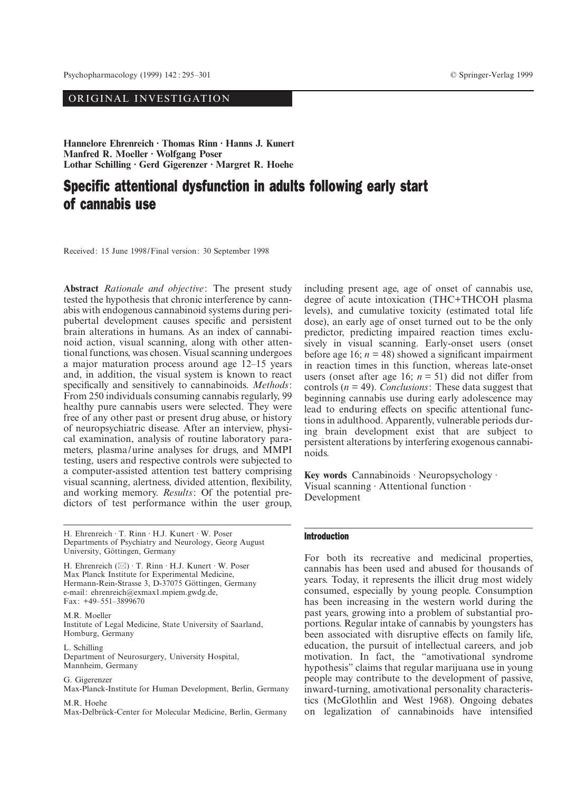# ORIGINAL INVESTIGATION

**Hannelore Ehrenreich · Thomas Rinn · Hanns J. Kunert Manfred R. Moeller · Wolfgang Poser Lothar Schilling · Gerd Gigerenzer · Margret R. Hoehe**

# Specific attentional dysfunction in adults following early start of cannabis use

Received: 15 June 1998/Final version: 30 September 1998

**Abstract** *Rationale and objective*: The present study tested the hypothesis that chronic interference by cannabis with endogenous cannabinoid systems during peripubertal development causes specific and persistent brain alterations in humans. As an index of cannabinoid action, visual scanning, along with other attentional functions, was chosen. Visual scanning undergoes a major maturation process around age 12–15 years and, in addition, the visual system is known to react specifically and sensitively to cannabinoids. *Methods*: From 250 individuals consuming cannabis regularly, 99 healthy pure cannabis users were selected. They were free of any other past or present drug abuse, or history of neuropsychiatric disease. After an interview, physical examination, analysis of routine laboratory parameters, plasma/urine analyses for drugs, and MMPI testing, users and respective controls were subjected to a computer-assisted attention test battery comprising visual scanning, alertness, divided attention, flexibility, and working memory. *Results*: Of the potential predictors of test performance within the user group,

H. Ehrenreich · T. Rinn · H.J. Kunert · W. Poser Departments of Psychiatry and Neurology, Georg August University, Göttingen, Germany

H. Ehrenreich ( $\boxtimes$ ) · T. Rinn · H.J. Kunert · W. Poser Max Planck Institute for Experimental Medicine, Hermann-Rein-Strasse 3, D-37075 Göttingen, Germany e-mail: ehrenreich@exmax1.mpiem.gwdg.de, Fax: +49–551–3899670

M.R. Moeller Institute of Legal Medicine, State University of Saarland, Homburg, Germany

L. Schilling Department of Neurosurgery, University Hospital, Mannheim, Germany

G. Gigerenzer Max-Planck-Institute for Human Development, Berlin, Germany M.R. Hoehe

Max-Delbrück-Center for Molecular Medicine, Berlin, Germany

including present age, age of onset of cannabis use, degree of acute intoxication (THC+THCOH plasma levels), and cumulative toxicity (estimated total life dose), an early age of onset turned out to be the only predictor, predicting impaired reaction times exclusively in visual scanning. Early-onset users (onset before age 16;  $n = 48$ ) showed a significant impairment in reaction times in this function, whereas late-onset users (onset after age 16;  $n = 51$ ) did not differ from controls (*n* = 49). *Conclusions*: These data suggest that beginning cannabis use during early adolescence may lead to enduring effects on specific attentional functions in adulthood. Apparently, vulnerable periods during brain development exist that are subject to persistent alterations by interfering exogenous cannabinoids.

**Key words** Cannabinoids · Neuropsychology · Visual scanning · Attentional function · Development

### Introduction

For both its recreative and medicinal properties, cannabis has been used and abused for thousands of years. Today, it represents the illicit drug most widely consumed, especially by young people. Consumption has been increasing in the western world during the past years, growing into a problem of substantial proportions. Regular intake of cannabis by youngsters has been associated with disruptive effects on family life, education, the pursuit of intellectual careers, and job motivation. In fact, the "amotivational syndrome hypothesis" claims that regular marijuana use in young people may contribute to the development of passive, inward-turning, amotivational personality characteristics (McGlothlin and West 1968). Ongoing debates on legalization of cannabinoids have intensified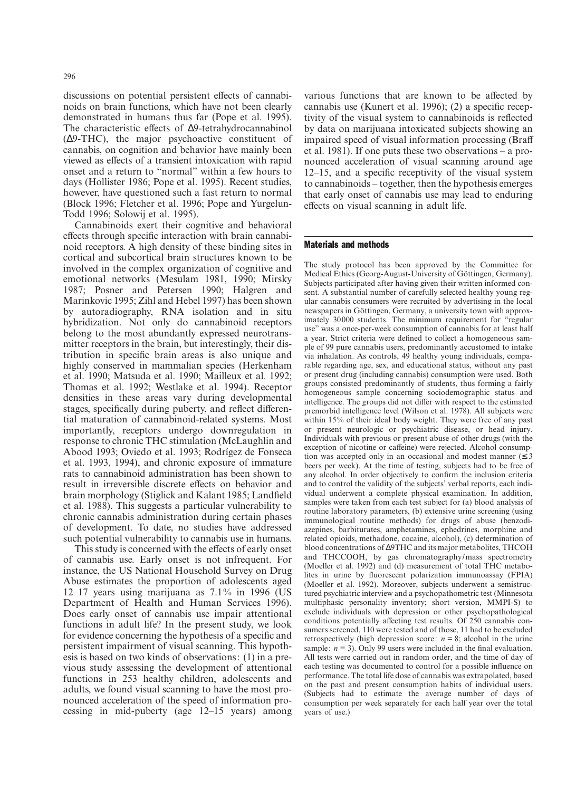discussions on potential persistent effects of cannabinoids on brain functions, which have not been clearly demonstrated in humans thus far (Pope et al. 1995). The characteristic effects of ∆9-tetrahydrocannabinol (∆9-THC), the major psychoactive constituent of cannabis, on cognition and behavior have mainly been viewed as effects of a transient intoxication with rapid onset and a return to "normal" within a few hours to days (Hollister 1986; Pope et al. 1995). Recent studies, however, have questioned such a fast return to normal (Block 1996; Fletcher et al. 1996; Pope and Yurgelun-Todd 1996; Solowij et al. 1995).

Cannabinoids exert their cognitive and behavioral effects through specific interaction with brain cannabinoid receptors. A high density of these binding sites in cortical and subcortical brain structures known to be involved in the complex organization of cognitive and emotional networks (Mesulam 1981, 1990; Mirsky 1987; Posner and Petersen 1990; Halgren and Marinkovic 1995; Zihl and Hebel 1997) has been shown by autoradiography, RNA isolation and in situ hybridization. Not only do cannabinoid receptors belong to the most abundantly expressed neurotransmitter receptors in the brain, but interestingly, their distribution in specific brain areas is also unique and highly conserved in mammalian species (Herkenham et al. 1990; Matsuda et al. 1990; Mailleux et al. 1992; Thomas et al. 1992; Westlake et al. 1994). Receptor densities in these areas vary during developmental stages, specifically during puberty, and reflect differential maturation of cannabinoid-related systems. Most importantly, receptors undergo downregulation in response to chronic THC stimulation (McLaughlin and Abood 1993; Oviedo et al. 1993; Rodrígez de Fonseca et al. 1993, 1994), and chronic exposure of immature rats to cannabinoid administration has been shown to result in irreversible discrete effects on behavior and brain morphology (Stiglick and Kalant 1985; Landfield et al. 1988). This suggests a particular vulnerability to chronic cannabis administration during certain phases of development. To date, no studies have addressed such potential vulnerability to cannabis use in humans.

This study is concerned with the effects of early onset of cannabis use. Early onset is not infrequent. For instance, the US National Household Survey on Drug Abuse estimates the proportion of adolescents aged 12–17 years using marijuana as 7.1% in 1996 (US Department of Health and Human Services 1996). Does early onset of cannabis use impair attentional functions in adult life? In the present study, we look for evidence concerning the hypothesis of a specific and persistent impairment of visual scanning. This hypothesis is based on two kinds of observations: (1) in a previous study assessing the development of attentional functions in 253 healthy children, adolescents and adults, we found visual scanning to have the most pronounced acceleration of the speed of information processing in mid-puberty (age 12–15 years) among

various functions that are known to be affected by cannabis use (Kunert et al. 1996); (2) a specific receptivity of the visual system to cannabinoids is reflected by data on marijuana intoxicated subjects showing an impaired speed of visual information processing (Braff et al. 1981). If one puts these two observations – a pronounced acceleration of visual scanning around age 12–15, and a specific receptivity of the visual system to cannabinoids – together, then the hypothesis emerges that early onset of cannabis use may lead to enduring effects on visual scanning in adult life.

#### Materials and methods

The study protocol has been approved by the Committee for Medical Ethics (Georg-August-University of Göttingen, Germany). Subjects participated after having given their written informed consent. A substantial number of carefully selected healthy young regular cannabis consumers were recruited by advertising in the local newspapers in Göttingen, Germany, a university town with approximately 30000 students. The minimum requirement for "regular use" was a once-per-week consumption of cannabis for at least half a year. Strict criteria were defined to collect a homogeneous sample of 99 pure cannabis users, predominantly accustomed to intake via inhalation. As controls, 49 healthy young individuals, comparable regarding age, sex, and educational status, without any past or present drug (including cannabis) consumption were used. Both groups consisted predominantly of students, thus forming a fairly homogeneous sample concerning sociodemographic status and intelligence. The groups did not differ with respect to the estimated premorbid intelligence level (Wilson et al. 1978). All subjects were within 15% of their ideal body weight. They were free of any past or present neurologic or psychiatric disease, or head injury. Individuals with previous or present abuse of other drugs (with the exception of nicotine or caffeine) were rejected. Alcohol consumption was accepted only in an occasional and modest manner  $( \leq 3$ beers per week). At the time of testing, subjects had to be free of any alcohol. In order objectively to confirm the inclusion criteria and to control the validity of the subjects' verbal reports, each individual underwent a complete physical examination. In addition, samples were taken from each test subject for (a) blood analysis of routine laboratory parameters, (b) extensive urine screening (using immunological routine methods) for drugs of abuse (benzodiazepines, barbiturates, amphetamines, ephedrines, morphine and related opioids, methadone, cocaine, alcohol), (c) determination of blood concentrations of ∆9THC and its major metabolites, THCOH and THCCOOH, by gas chromatography/mass spectrometry (Moeller et al. 1992) and (d) measurement of total THC metabolites in urine by fluorescent polarization immunoassay (FPIA) (Moeller et al. 1992). Moreover, subjects underwent a semistructured psychiatric interview and a psychopathometric test (Minnesota multiphasic personality inventory; short version, MMPI-S) to exclude individuals with depression or other psychopathological conditions potentially affecting test results. Of 250 cannabis consumers screened, 110 were tested and of those, 11 had to be excluded retrospectively (high depression score:  $n = 8$ ; alcohol in the urine sample:  $n = 3$ ). Only 99 users were included in the final evaluation. All tests were carried out in random order, and the time of day of each testing was documented to control for a possible influence on performance. The total life dose of cannabis was extrapolated, based on the past and present consumption habits of individual users. (Subjects had to estimate the average number of days of consumption per week separately for each half year over the total years of use.)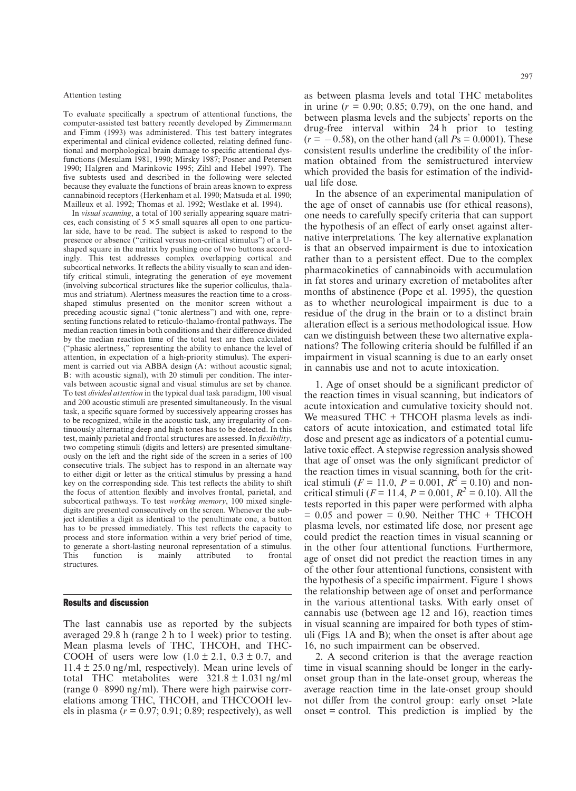#### Attention testing

To evaluate specifically a spectrum of attentional functions, the computer-assisted test battery recently developed by Zimmermann and Fimm (1993) was administered. This test battery integrates experimental and clinical evidence collected, relating defined functional and morphological brain damage to specific attentional dysfunctions (Mesulam 1981, 1990; Mirsky 1987; Posner and Petersen 1990; Halgren and Marinkovic 1995; Zihl and Hebel 1997). The five subtests used and described in the following were selected because they evaluate the functions of brain areas known to express cannabinoid receptors (Herkenham et al. 1990; Matsuda et al. 1990; Mailleux et al. 1992; Thomas et al. 1992; Westlake et al. 1994).

In *visual scanning*, a total of 100 serially appearing square matrices, each consisting of  $5 \times 5$  small squares all open to one particular side, have to be read. The subject is asked to respond to the presence or absence ("critical versus non-critical stimulus") of a Ushaped square in the matrix by pushing one of two buttons accordingly. This test addresses complex overlapping cortical and subcortical networks. It reflects the ability visually to scan and identify critical stimuli, integrating the generation of eye movement (involving subcortical structures like the superior colliculus, thalamus and striatum). Alertness measures the reaction time to a crossshaped stimulus presented on the monitor screen without a preceding acoustic signal ("tonic alertness") and with one, representing functions related to reticulo-thalamo-frontal pathways. The median reaction times in both conditions and their difference divided by the median reaction time of the total test are then calculated ("phasic alertness," representing the ability to enhance the level of attention, in expectation of a high-priority stimulus). The experiment is carried out via ABBA design (A: without acoustic signal; B: with acoustic signal), with 20 stimuli per condition. The intervals between acoustic signal and visual stimulus are set by chance. To test *divided attention* in the typical dual task paradigm, 100 visual and 200 acoustic stimuli are presented simultaneously. In the visual task, a specific square formed by successively appearing crosses has to be recognized, while in the acoustic task, any irregularity of continuously alternating deep and high tones has to be detected. In this test, mainly parietal and frontal structures are assessed. In *flexibility*, two competing stimuli (digits and letters) are presented simultaneously on the left and the right side of the screen in a series of 100 consecutive trials. The subject has to respond in an alternate way to either digit or letter as the critical stimulus by pressing a hand key on the corresponding side. This test reflects the ability to shift the focus of attention flexibly and involves frontal, parietal, and subcortical pathways. To test *working memory*, 100 mixed singledigits are presented consecutively on the screen. Whenever the subject identifies a digit as identical to the penultimate one, a button has to be pressed immediately. This test reflects the capacity to process and store information within a very brief period of time, to generate a short-lasting neuronal representation of a stimulus. This function is mainly attributed to frontal structures.

# Results and discussion

The last cannabis use as reported by the subjects averaged 29.8 h (range 2 h to 1 week) prior to testing. Mean plasma levels of THC, THCOH, and THC-COOH of users were low  $(1.0 \pm 2.1, 0.3 \pm 0.7,$  and  $11.4 \pm 25.0$  ng/ml, respectively). Mean urine levels of total THC metabolites were  $321.8 \pm 1.031$  ng/ml (range 0–8990 ng/ml). There were high pairwise correlations among THC, THCOH, and THCCOOH levels in plasma  $(r = 0.97; 0.91; 0.89;$  respectively), as well

as between plasma levels and total THC metabolites in urine  $(r = 0.90; 0.85; 0.79)$ , on the one hand, and between plasma levels and the subjects' reports on the drug-free interval within 24 h prior to testing  $(r = -0.58)$ , on the other hand (all  $Ps = 0.0001$ ). These consistent results underline the credibility of the information obtained from the semistructured interview which provided the basis for estimation of the individual life dose.

In the absence of an experimental manipulation of the age of onset of cannabis use (for ethical reasons), one needs to carefully specify criteria that can support the hypothesis of an effect of early onset against alternative interpretations. The key alternative explanation is that an observed impairment is due to intoxication rather than to a persistent effect. Due to the complex pharmacokinetics of cannabinoids with accumulation in fat stores and urinary excretion of metabolites after months of abstinence (Pope et al. 1995), the question as to whether neurological impairment is due to a residue of the drug in the brain or to a distinct brain alteration effect is a serious methodological issue. How can we distinguish between these two alternative explanations? The following criteria should be fulfilled if an impairment in visual scanning is due to an early onset in cannabis use and not to acute intoxication.

1. Age of onset should be a significant predictor of the reaction times in visual scanning, but indicators of acute intoxication and cumulative toxicity should not. We measured THC + THCOH plasma levels as indicators of acute intoxication, and estimated total life dose and present age as indicators of a potential cumulative toxic effect. A stepwise regression analysis showed that age of onset was the only significant predictor of the reaction times in visual scanning, both for the critical stimuli ( $F = 11.0$ ,  $P = 0.001$ ,  $R^2 = 0.10$ ) and noncritical stimuli ( $F = 11.4$ ,  $P = 0.001$ ,  $R^2 = 0.10$ ). All the tests reported in this paper were performed with alpha  $= 0.05$  and power  $= 0.90$ . Neither THC + THCOH plasma levels, nor estimated life dose, nor present age could predict the reaction times in visual scanning or in the other four attentional functions. Furthermore, age of onset did not predict the reaction times in any of the other four attentional functions, consistent with the hypothesis of a specific impairment. Figure 1 shows the relationship between age of onset and performance in the various attentional tasks. With early onset of cannabis use (between age 12 and 16), reaction times in visual scanning are impaired for both types of stimuli (Figs. 1A and B); when the onset is after about age 16, no such impairment can be observed.

2. A second criterion is that the average reaction time in visual scanning should be longer in the earlyonset group than in the late-onset group, whereas the average reaction time in the late-onset group should not differ from the control group: early onset >late onset = control. This prediction is implied by the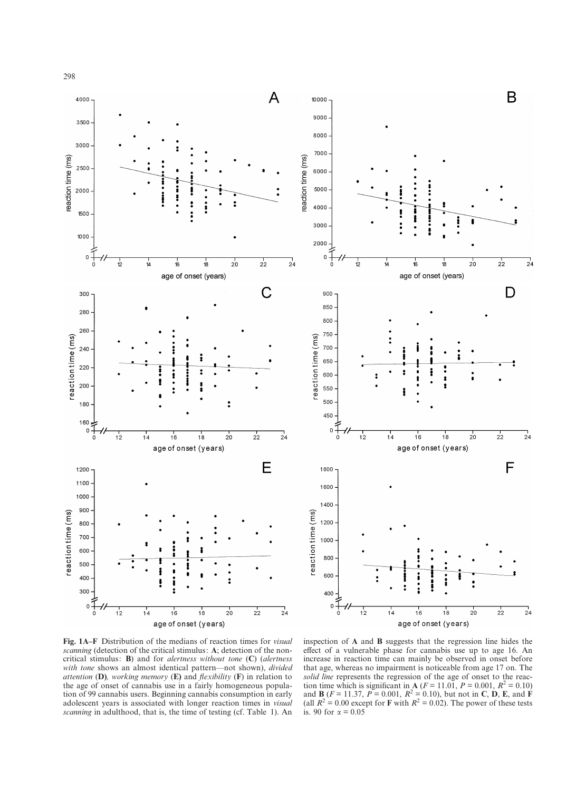

**Fig. 1A–F** Distribution of the medians of reaction times for *visual scanning* (detection of the critical stimulus: **A**; detection of the noncritical stimulus: **B**) and for *alertness without tone* (**C**) (*alertness with tone* shows an almost identical pattern—not shown), *divided attention* (**D)***, working memory* (**E)** and *flexibility* (**F**) in relation to the age of onset of cannabis use in a fairly homogeneous population of 99 cannabis users. Beginning cannabis consumption in early adolescent years is associated with longer reaction times in *visual scanning* in adulthood, that is, the time of testing (cf. Table 1). An

inspection of **A** and **B** suggests that the regression line hides the effect of a vulnerable phase for cannabis use up to age 16. An increase in reaction time can mainly be observed in onset before that age, whereas no impairment is noticeable from age 17 on. The *solid line* represents the regression of the age of onset to the reaction time which is significant in **A** ( $F = 11.01$ ,  $P = 0.001$ ,  $R^2 = 0.10$ ) and **B** ( $F = 11.37$ ,  $P = 0.001$ ,  $R^2 = 0.10$ ), but not in **C**, **D**, **E**, and **F** (all  $R^2 = 0.00$  except for **F** with  $R^2 = 0.02$ ). The power of these tests is. 90 for  $\alpha = 0.05$ 

 $2^{1}$ 

 $24$ 

 $\frac{1}{24}$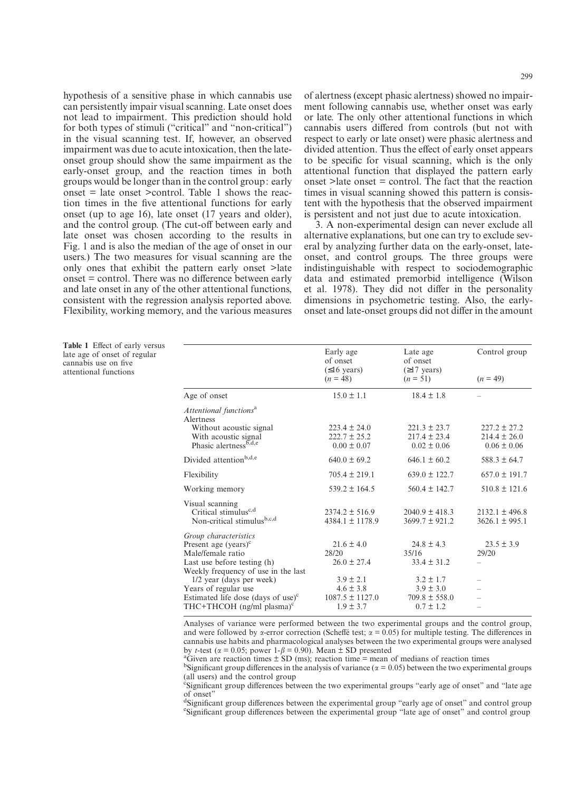hypothesis of a sensitive phase in which cannabis use can persistently impair visual scanning. Late onset does not lead to impairment. This prediction should hold for both types of stimuli ("critical" and "non-critical") in the visual scanning test. If, however, an observed impairment was due to acute intoxication, then the lateonset group should show the same impairment as the early-onset group, and the reaction times in both groups would be longer than in the control group: early onset  $=$  late onset  $\ge$ control. Table 1 shows the reaction times in the five attentional functions for early onset (up to age 16), late onset (17 years and older), and the control group. (The cut-off between early and late onset was chosen according to the results in Fig. 1 and is also the median of the age of onset in our users.) The two measures for visual scanning are the only ones that exhibit the pattern early onset >late onset = control. There was no difference between early and late onset in any of the other attentional functions, consistent with the regression analysis reported above. Flexibility, working memory, and the various measures

of alertness (except phasic alertness) showed no impairment following cannabis use, whether onset was early or late. The only other attentional functions in which cannabis users differed from controls (but not with respect to early or late onset) were phasic alertness and divided attention. Thus the effect of early onset appears to be specific for visual scanning, which is the only attentional function that displayed the pattern early onset >late onset = control. The fact that the reaction times in visual scanning showed this pattern is consistent with the hypothesis that the observed impairment is persistent and not just due to acute intoxication.

3. A non-experimental design can never exclude all alternative explanations, but one can try to exclude several by analyzing further data on the early-onset, lateonset, and control groups. The three groups were indistinguishable with respect to sociodemographic data and estimated premorbid intelligence (Wilson et al. 1978). They did not differ in the personality dimensions in psychometric testing. Also, the earlyonset and late-onset groups did not differ in the amount

**Table 1** Effect of early versus late age of onset of regular cannabis use on five attentional functions

|                                                                                                                                                 | Early age<br>of onset<br>$(≤16 \text{ years})$                         | Late age<br>of onset<br>$(\geq 17$ years)                            | Control group                                           |
|-------------------------------------------------------------------------------------------------------------------------------------------------|------------------------------------------------------------------------|----------------------------------------------------------------------|---------------------------------------------------------|
|                                                                                                                                                 | $(n = 48)$                                                             | $(n = 51)$                                                           | $(n = 49)$                                              |
| Age of onset                                                                                                                                    | $15.0 \pm 1.1$                                                         | $18.4 \pm 1.8$                                                       |                                                         |
| Attentional functions <sup>a</sup><br>Alertness                                                                                                 |                                                                        |                                                                      |                                                         |
| Without acoustic signal<br>With acoustic signal<br>Phasic alertness <sup>b,d,e</sup>                                                            | $223.4 \pm 24.0$<br>$222.7 \pm 25.2$<br>$0.00 \pm 0.07$                | $221.3 \pm 23.7$<br>$217.4 \pm 23.4$<br>$0.02 \pm 0.06$              | $227.2 \pm 27.2$<br>$214.4 \pm 26.0$<br>$0.06 \pm 0.06$ |
| Divided attention <sup>b,d,e</sup>                                                                                                              | $640.0 \pm 69.2$                                                       | $646.1 \pm 60.2$                                                     | $588.3 \pm 64.7$                                        |
| Flexibility                                                                                                                                     | $705.4 \pm 219.1$                                                      | $639.0 \pm 122.7$                                                    | $657.0 \pm 191.7$                                       |
| Working memory                                                                                                                                  | $539.2 \pm 164.5$                                                      | $560.4 \pm 142.7$                                                    | $510.8 \pm 121.6$                                       |
| Visual scanning<br>Critical stimulus <sup>c,d</sup><br>Non-critical stimulusb,c,d                                                               | $2374.2 \pm 516.9$<br>$4384.1 \pm 1178.9$                              | $2040.9 \pm 418.3$<br>$3699.7 \pm 921.2$                             | $2132.1 \pm 496.8$<br>$3626.1 \pm 995.1$                |
| Group characteristics<br>Present age (years) $\rm^c$<br>Male/female ratio<br>Last use before testing (h)<br>Weekly frequency of use in the last | $21.6 \pm 4.0$<br>28/20<br>$26.0 \pm 27.4$                             | $24.8 \pm 4.3$<br>35/16<br>$33.4 \pm 31.2$                           | $23.5 \pm 3.9$<br>29/20                                 |
| 1/2 year (days per week)<br>Years of regular use<br>Estimated life dose (days of use) $\textdegree$<br>THC+THCOH $(ng/ml \text{ plasma})^c$     | $3.9 \pm 2.1$<br>$4.6 \pm 3.8$<br>$1087.5 \pm 1127.0$<br>$1.9 \pm 3.7$ | $3.2 \pm 1.7$<br>$3.9 \pm 3.0$<br>$709.8 \pm 558.0$<br>$0.7 \pm 1.2$ |                                                         |

Analyses of variance were performed between the two experimental groups and the control group, and were followed by  $\alpha$ -error correction (Scheffé test;  $\alpha = 0.05$ ) for multiple testing. The differences in cannabis use habits and pharmacological analyses between the two experimental groups were analysed by *t*-test ( $\alpha$  = 0.05; power 1- $\beta$  = 0.90). Mean  $\pm$  SD presented

 $G$ iven are reaction times  $\pm$  SD (ms); reaction time = mean of medians of reaction times

<sup>b</sup>Significant group differences in the analysis of variance ( $\alpha = 0.05$ ) between the two experimental groups (all users) and the control group

<sup>c</sup>Significant group differences between the two experimental groups "early age of onset" and "late age of onset"

<sup>d</sup>Significant group differences between the experimental group "early age of onset" and control group estimated experimental group "late age of onset" and control group Significant group differences between the experimental group "late age of onset" and control group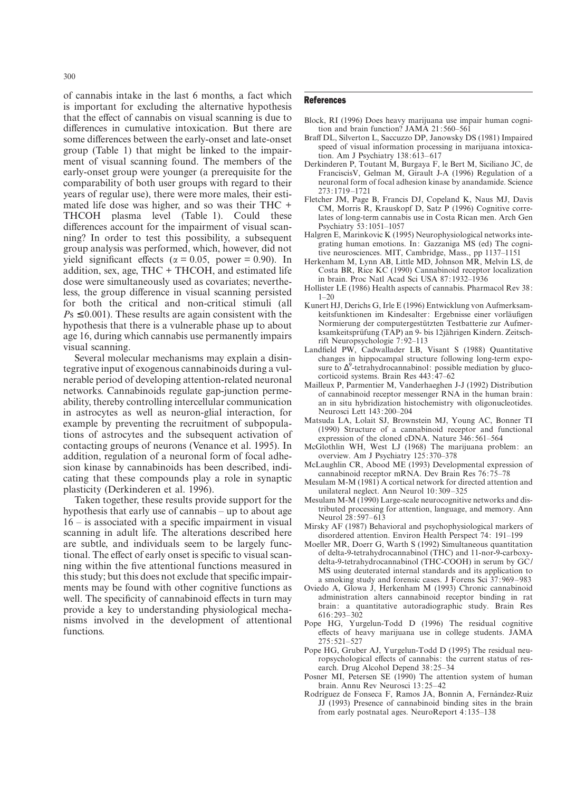of cannabis intake in the last 6 months, a fact which is important for excluding the alternative hypothesis that the effect of cannabis on visual scanning is due to differences in cumulative intoxication. But there are some differences between the early-onset and late-onset group (Table 1) that might be linked to the impairment of visual scanning found. The members of the early-onset group were younger (a prerequisite for the comparability of both user groups with regard to their years of regular use), there were more males, their estimated life dose was higher, and so was their THC + THCOH plasma level (Table 1). Could these differences account for the impairment of visual scanning? In order to test this possibility, a subsequent group analysis was performed, which, however, did not yield significant effects ( $\alpha = 0.05$ , power = 0.90). In addition, sex, age,  $THC + THCOH$ , and estimated life dose were simultaneously used as covariates; nevertheless, the group difference in visual scanning persisted for both the critical and non-critical stimuli (all  $P<sub>S</sub> \leq 0.001$ ). These results are again consistent with the hypothesis that there is a vulnerable phase up to about age 16, during which cannabis use permanently impairs visual scanning.

Several molecular mechanisms may explain a disintegrative input of exogenous cannabinoids during a vulnerable period of developing attention-related neuronal networks. Cannabinoids regulate gap-junction permeability, thereby controlling intercellular communication in astrocytes as well as neuron-glial interaction, for example by preventing the recruitment of subpopulations of astrocytes and the subsequent activation of contacting groups of neurons (Venance et al. 1995). In addition, regulation of a neuronal form of focal adhesion kinase by cannabinoids has been described, indicating that these compounds play a role in synaptic plasticity (Derkinderen et al. 1996).

Taken together, these results provide support for the hypothesis that early use of cannabis – up to about age 16 – is associated with a specific impairment in visual scanning in adult life. The alterations described here are subtle, and individuals seem to be largely functional. The effect of early onset is specific to visual scanning within the five attentional functions measured in this study; but this does not exclude that specific impairments may be found with other cognitive functions as well. The specificity of cannabinoid effects in turn may provide a key to understanding physiological mechanisms involved in the development of attentional functions.

## **References**

- Block, RI (1996) Does heavy marijuana use impair human cognition and brain function? JAMA 21:560–561
- Braff DL, Silverton L, Saccuzzo DP, Janowsky DS (1981) Impaired speed of visual information processing in marijuana intoxication. Am J Psychiatry 138:613–617
- Derkinderen P, Toutant M, Burgaya F, le Bert M, Siciliano JC, de FranciscisV, Gelman M, Girault J-A (1996) Regulation of a neuronal form of focal adhesion kinase by anandamide. Science 273:1719–1721
- Fletcher JM, Page B, Francis DJ, Copeland K, Naus MJ, Davis CM, Morris R, Krauskopf D, Satz P (1996) Cognitive correlates of long-term cannabis use in Costa Rican men. Arch Gen Psychiatry 53:1051–1057
- Halgren E, Marinkovic K (1995) Neurophysiological networks integrating human emotions. In: Gazzaniga MS (ed) The cognitive neurosciences. MIT, Cambridge, Mass., pp 1137–1151
- Herkenham M, Lynn AB, Little MD, Johnson MR, Melvin LS, de Costa BR, Rice KC (1990) Cannabinoid receptor localization in brain. Proc Natl Acad Sci USA 87:1932–1936
- Hollister LE (1986) Health aspects of cannabis. Pharmacol Rev 38:  $1 - 20$
- Kunert HJ, Derichs G, Irle E (1996) Entwicklung von Aufmerksamkeitsfunktionen im Kindesalter: Ergebnisse einer vorläufigen Normierung der computergestützten Testbatterie zur Aufmerksamkeitsprüfung (TAP) an 9- bis 12jährigen Kindern. Zeitschrift Neuropsychologie 7:92–113
- Landfield PW, Cadwallader LB, Visant S (1988) Quantitative changes in hippocampal structure following long-term exposure to ∆<sup>9</sup>-tetrahydrocannabinol: possible mediation by glucocorticoid systems. Brain Res 443:47–62
- Mailleux P, Parmentier M, Vanderhaeghen J-J (1992) Distribution of cannabinoid receptor messenger RNA in the human brain: an in situ hybridization histochemistry with oligonucleotides. Neurosci Lett 143:200–204
- Matsuda LA, Lolait SJ, Brownstein MJ, Young AC, Bonner TI (1990) Structure of a cannabinoid receptor and functional expression of the cloned cDNA. Nature 346:561–564
- McGlothlin WH, West LJ (1968) The marijuana problem: an overview. Am J Psychiatry 125:370–378
- McLaughlin CR, Abood ME (1993) Developmental expression of cannabinoid receptor mRNA. Dev Brain Res 76:75–78
- Mesulam M-M (1981) A cortical network for directed attention and unilateral neglect. Ann Neurol 10:309–325
- Mesulam M-M (1990) Large-scale neurocognitive networks and distributed processing for attention, language, and memory. Ann Neurol 28:597–613
- Mirsky AF (1987) Behavioral and psychophysiological markers of disordered attention. Environ Health Perspect 74: 191–199
- Moeller MR, Doerr G, Warth S (1992) Simultaneous quantitation of delta-9-tetrahydrocannabinol (THC) and 11-nor-9-carboxydelta-9-tetrahydrocannabinol (THC-COOH) in serum by GC/ MS using deuterated internal standards and its application to a smoking study and forensic cases. J Forens Sci 37:969–983
- Oviedo A, Glowa J, Herkenham M (1993) Chronic cannabinoid administration alters cannabinoid receptor binding in rat brain: a quantitative autoradiographic study. Brain Res 616:293–302
- Pope HG, Yurgelun-Todd D (1996) The residual cognitive effects of heavy marijuana use in college students. JAMA 275:521–527
- Pope HG, Gruber AJ, Yurgelun-Todd D (1995) The residual neuropsychological effects of cannabis: the current status of research. Drug Alcohol Depend 38:25–34
- Posner MI, Petersen SE (1990) The attention system of human brain. Annu Rev Neurosci 13:25–42
- Rodríguez de Fonseca F, Ramos JA, Bonnin A, Fernández-Ruiz JJ (1993) Presence of cannabinoid binding sites in the brain from early postnatal ages. NeuroReport 4:135–138